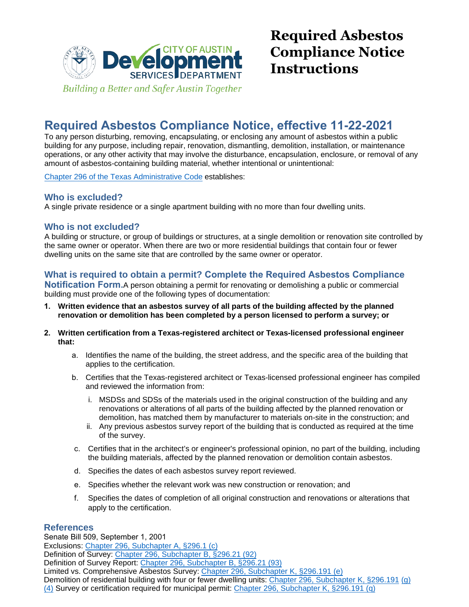

## **Required Asbestos Compliance Notice, effective 11-22-2021**

To any person disturbing, removing, encapsulating, or enclosing any amount of asbestos within a public building for any purpose, including repair, renovation, dismantling, demolition, installation, or maintenance operations, or any other activity that may involve the disturbance, encapsulation, enclosure, or removal of any amount of asbestos-containing building material, whether intentional or unintentional:

Chapter 296 of the Texas Administrative Code establishes:

### **Who is excluded?**

A single private residence or a single apartment building with no more than four dwelling units.

### **Who is not excluded?**

A building or structure, or group of buildings or structures, at a single demolition or renovation site controlled by the same owner or operator. When there are two or more residential buildings that contain four or fewer dwelling units on the same site that are controlled by the same owner or operator.

### **What is required to obtain a permit? Complete the Required Asbestos Compliance**

**Notification Form.**A person obtaining a permit for renovating or demolishing a public or commercial building must provide one of the following types of documentation:

- **1. Written evidence that an asbestos survey of all parts of the building affected by the planned [renovation or demolition has been complet](https://texreg.sos.state.tx.us/public/readtac$ext.ViewTAC?tac_view=4&ti=25&pt=1&ch=296)ed by a person licensed to perform a survey; or**
- **2. Written certification from a Texas-registered architect or Texas-licensed professional engineer that:**
	- a. Identifies the name of the building, the street address, and the specific area of the building that applies to the certification.
	- b. Certifies that the Texas-registered architect or Texas-licensed professional engineer has compiled and reviewed the information from:
		- i. MSDSs and SDSs of the materials used in the original construction of the building and any renovations or alterations of all parts of the building affected by the planned renovation or demolition, has matched them by manufacturer to materials on-site in the construction; and
		- ii. Any previous asbestos survey report of the building that is conducted as required at the time of the survey.
	- c. Certifies that in the architect's or engineer's professional opinion, no part of the building, including the building materials, affected by the planned renovation or demolition contain asbestos.
	- d. Specifies the dates of each asbestos survey report reviewed.
	- e. Specifies whether the relevant work was new construction or renovation; and
	- f. Specifies the dates of completion of all original construction and renovations or alterations that apply to the certification.

#### **References**

Senate Bill 509, September 1, 2001 Exclusions: Chapter 296, Subchapter A, §296.1 (c) Definition of Survey: Chapter 296, Subchapter B, §296.21 (92) Definition of Survey Report: Chapter 296, Subchapter B, §296.21 (93) Limited vs. Comprehensive Asbestos Survey: Chapter 296, Subchapter K, §296.191 (e) Demolition of residential building with four or fewer dwelling units: Chapter 296, Subchapter K, §296.191 (g) (4) Survey or certification required for municipal permit: Chapter 296, Subchapter K, §296.191 (q)